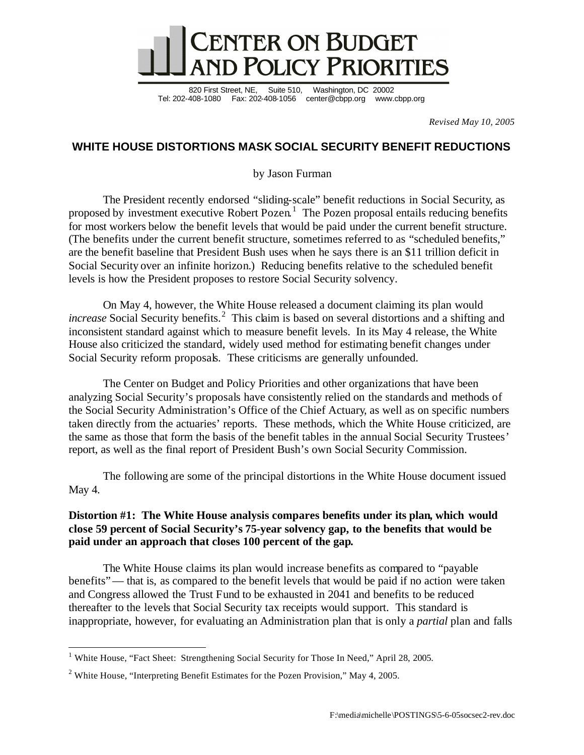

820 First Street, NE, Suite 510, Washington, DC 20002 Tel: 202-408-1080 Fax: 202-408-1056 center@cbpp.org www.cbpp.org

*Revised May 10, 2005*

# **WHITE HOUSE DISTORTIONS MASK SOCIAL SECURITY BENEFIT REDUCTIONS**

by Jason Furman

The President recently endorsed "sliding-scale" benefit reductions in Social Security, as proposed by investment executive Robert Pozen.<sup>1</sup> The Pozen proposal entails reducing benefits for most workers below the benefit levels that would be paid under the current benefit structure. (The benefits under the current benefit structure, sometimes referred to as "scheduled benefits," are the benefit baseline that President Bush uses when he says there is an \$11 trillion deficit in Social Security over an infinite horizon.) Reducing benefits relative to the scheduled benefit levels is how the President proposes to restore Social Security solvency.

On May 4, however, the White House released a document claiming its plan would *increase* Social Security benefits.<sup>2</sup> This claim is based on several distortions and a shifting and inconsistent standard against which to measure benefit levels. In its May 4 release, the White House also criticized the standard, widely used method for estimating benefit changes under Social Security reform proposals. These criticisms are generally unfounded.

The Center on Budget and Policy Priorities and other organizations that have been analyzing Social Security's proposals have consistently relied on the standards and methods of the Social Security Administration's Office of the Chief Actuary, as well as on specific numbers taken directly from the actuaries' reports. These methods, which the White House criticized, are the same as those that form the basis of the benefit tables in the annual Social Security Trustees' report, as well as the final report of President Bush's own Social Security Commission.

The following are some of the principal distortions in the White House document issued May 4.

# **Distortion #1: The White House analysis compares benefits under its plan, which would close 59 percent of Social Security's 75-year solvency gap, to the benefits that would be paid under an approach that closes 100 percent of the gap.**

The White House claims its plan would increase benefits as compared to "payable benefits"— that is, as compared to the benefit levels that would be paid if no action were taken and Congress allowed the Trust Fund to be exhausted in 2041 and benefits to be reduced thereafter to the levels that Social Security tax receipts would support. This standard is inappropriate, however, for evaluating an Administration plan that is only a *partial* plan and falls

<sup>&</sup>lt;sup>1</sup> White House, "Fact Sheet: Strengthening Social Security for Those In Need," April 28, 2005.

<sup>2</sup> White House, "Interpreting Benefit Estimates for the Pozen Provision," May 4, 2005.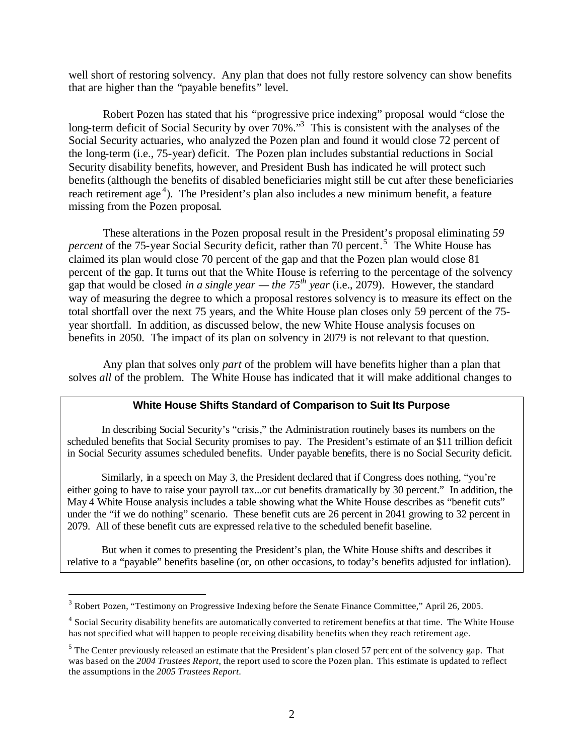well short of restoring solvency. Any plan that does not fully restore solvency can show benefits that are higher than the "payable benefits" level.

Robert Pozen has stated that his "progressive price indexing" proposal would "close the long-term deficit of Social Security by over 70%.<sup>3</sup> This is consistent with the analyses of the Social Security actuaries, who analyzed the Pozen plan and found it would close 72 percent of the long-term (i.e., 75-year) deficit. The Pozen plan includes substantial reductions in Social Security disability benefits, however, and President Bush has indicated he will protect such benefits (although the benefits of disabled beneficiaries might still be cut after these beneficiaries reach retirement age<sup>4</sup>). The President's plan also includes a new minimum benefit, a feature missing from the Pozen proposal.

These alterations in the Pozen proposal result in the President's proposal eliminating *59* percent of the 75-year Social Security deficit, rather than 70 percent.<sup>5</sup> The White House has claimed its plan would close 70 percent of the gap and that the Pozen plan would close 81 percent of the gap. It turns out that the White House is referring to the percentage of the solvency gap that would be closed *in a single year — the 75<sup>th</sup> year* (i.e., 2079). However, the standard way of measuring the degree to which a proposal restores solvency is to measure its effect on the total shortfall over the next 75 years, and the White House plan closes only 59 percent of the 75 year shortfall. In addition, as discussed below, the new White House analysis focuses on benefits in 2050. The impact of its plan on solvency in 2079 is not relevant to that question.

Any plan that solves only *part* of the problem will have benefits higher than a plan that solves *all* of the problem. The White House has indicated that it will make additional changes to

#### **White House Shifts Standard of Comparison to Suit Its Purpose**

In describing Social Security's "crisis," the Administration routinely bases its numbers on the scheduled benefits that Social Security promises to pay. The President's estimate of an \$11 trillion deficit in Social Security assumes scheduled benefits. Under payable benefits, there is no Social Security deficit.

Similarly, in a speech on May 3, the President declared that if Congress does nothing, "you're either going to have to raise your payroll tax...or cut benefits dramatically by 30 percent." In addition, the May 4 White House analysis includes a table showing what the White House describes as "benefit cuts" under the "if we do nothing" scenario. These benefit cuts are 26 percent in 2041 growing to 32 percent in 2079. All of these benefit cuts are expressed rela tive to the scheduled benefit baseline.

But when it comes to presenting the President's plan, the White House shifts and describes it relative to a "payable" benefits baseline (or, on other occasions, to today's benefits adjusted for inflation).

 $3$  Robert Pozen, "Testimony on Progressive Indexing before the Senate Finance Committee," April 26, 2005.

<sup>&</sup>lt;sup>4</sup> Social Security disability benefits are automatically converted to retirement benefits at that time. The White House has not specified what will happen to people receiving disability benefits when they reach retirement age.

 $<sup>5</sup>$  The Center previously released an estimate that the President's plan closed 57 percent of the solvency gap. That</sup> was based on the *2004 Trustees Report*, the report used to score the Pozen plan. This estimate is updated to reflect the assumptions in the *2005 Trustees Report*.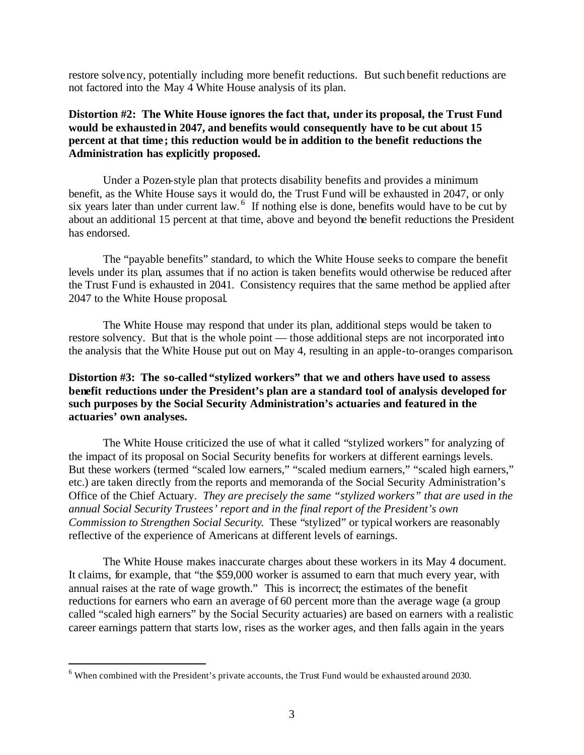restore solvency, potentially including more benefit reductions. But such benefit reductions are not factored into the May 4 White House analysis of its plan.

## **Distortion #2: The White House ignores the fact that, under its proposal, the Trust Fund would be exhausted in 2047, and benefits would consequently have to be cut about 15 percent at that time; this reduction would be in addition to the benefit reductions the Administration has explicitly proposed.**

Under a Pozen-style plan that protects disability benefits and provides a minimum benefit, as the White House says it would do, the Trust Fund will be exhausted in 2047, or only six years later than under current law.<sup>6</sup> If nothing else is done, benefits would have to be cut by about an additional 15 percent at that time, above and beyond the benefit reductions the President has endorsed.

The "payable benefits" standard, to which the White House seeks to compare the benefit levels under its plan, assumes that if no action is taken benefits would otherwise be reduced after the Trust Fund is exhausted in 2041. Consistency requires that the same method be applied after 2047 to the White House proposal.

The White House may respond that under its plan, additional steps would be taken to restore solvency. But that is the whole point — those additional steps are not incorporated into the analysis that the White House put out on May 4, resulting in an apple-to-oranges comparison.

# **Distortion #3: The so-called "stylized workers" that we and others have used to assess benefit reductions under the President's plan are a standard tool of analysis developed for such purposes by the Social Security Administration's actuaries and featured in the actuaries' own analyses.**

The White House criticized the use of what it called "stylized workers" for analyzing of the impact of its proposal on Social Security benefits for workers at different earnings levels. But these workers (termed "scaled low earners," "scaled medium earners," "scaled high earners," etc.) are taken directly from the reports and memoranda of the Social Security Administration's Office of the Chief Actuary. *They are precisely the same "stylized workers" that are used in the annual Social Security Trustees' report and in the final report of the President's own Commission to Strengthen Social Security*. These "stylized" or typical workers are reasonably reflective of the experience of Americans at different levels of earnings.

The White House makes inaccurate charges about these workers in its May 4 document. It claims, for example, that "the \$59,000 worker is assumed to earn that much every year, with annual raises at the rate of wage growth." This is incorrect; the estimates of the benefit reductions for earners who earn an average of 60 percent more than the average wage (a group called "scaled high earners" by the Social Security actuaries) are based on earners with a realistic career earnings pattern that starts low, rises as the worker ages, and then falls again in the years

 $6$  When combined with the President's private accounts, the Trust Fund would be exhausted around 2030.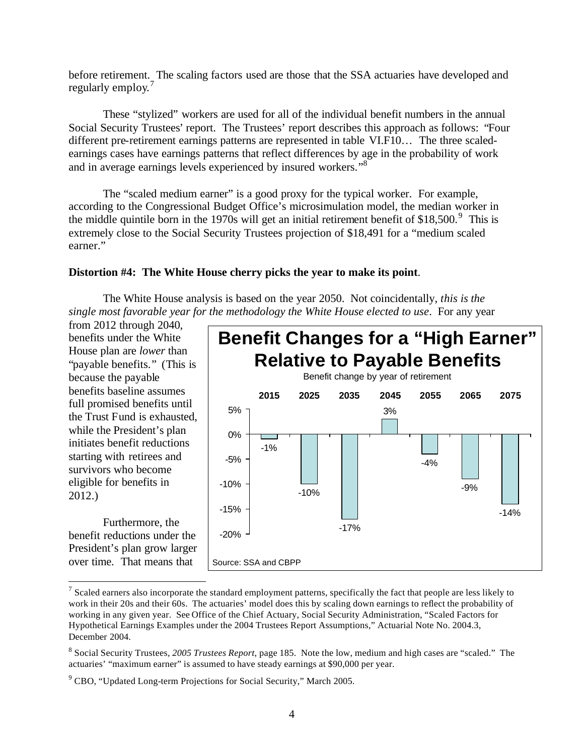before retirement. The scaling factors used are those that the SSA actuaries have developed and regularly employ.<sup>7</sup>

These "stylized" workers are used for all of the individual benefit numbers in the annual Social Security Trustees' report. The Trustees' report describes this approach as follows: "Four different pre-retirement earnings patterns are represented in table VI.F10… The three scaledearnings cases have earnings patterns that reflect differences by age in the probability of work and in average earnings levels experienced by insured workers."<sup>8</sup>

The "scaled medium earner" is a good proxy for the typical worker. For example, according to the Congressional Budget Office's microsimulation model, the median worker in the middle quintile born in the 1970s will get an initial retirement benefit of \$18,500.<sup>9</sup> This is extremely close to the Social Security Trustees projection of \$18,491 for a "medium scaled earner."

### **Distortion #4: The White House cherry picks the year to make its point**.

The White House analysis is based on the year 2050. Not coincidentally, *this is the single most favorable year for the methodology the White House elected to use*. For any year

from 2012 through 2040, benefits under the White House plan are *lower* than "payable benefits." (This is because the payable benefits baseline assumes full promised benefits until the Trust Fund is exhausted, while the President's plan initiates benefit reductions starting with retirees and survivors who become eligible for benefits in 2012.)

Furthermore, the benefit reductions under the President's plan grow larger over time. That means that



 $<sup>7</sup>$  Scaled earners also incorporate the standard employment patterns, specifically the fact that people are less likely to</sup> work in their 20s and their 60s. The actuaries' model does this by scaling down earnings to reflect the probability of working in any given year. See Office of the Chief Actuary, Social Security Administration, "Scaled Factors for Hypothetical Earnings Examples under the 2004 Trustees Report Assumptions," Actuarial Note No. 2004.3, December 2004.

<sup>8</sup> Social Security Trustees, *2005 Trustees Report*, page 185. Note the low, medium and high cases are "scaled." The actuaries' "maximum earner" is assumed to have steady earnings at \$90,000 per year.

<sup>&</sup>lt;sup>9</sup> CBO, "Updated Long-term Projections for Social Security," March 2005.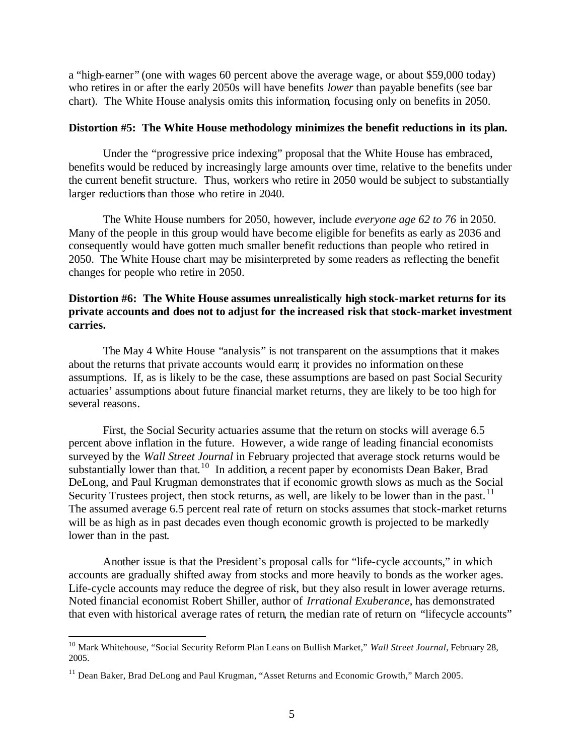a "high-earner" (one with wages 60 percent above the average wage, or about \$59,000 today) who retires in or after the early 2050s will have benefits *lower* than payable benefits (see bar chart). The White House analysis omits this information, focusing only on benefits in 2050.

#### **Distortion #5: The White House methodology minimizes the benefit reductions in its plan.**

Under the "progressive price indexing" proposal that the White House has embraced, benefits would be reduced by increasingly large amounts over time, relative to the benefits under the current benefit structure. Thus, workers who retire in 2050 would be subject to substantially larger reductions than those who retire in 2040.

The White House numbers for 2050, however, include *everyone age 62 to 76* in 2050. Many of the people in this group would have become eligible for benefits as early as 2036 and consequently would have gotten much smaller benefit reductions than people who retired in 2050. The White House chart may be misinterpreted by some readers as reflecting the benefit changes for people who retire in 2050.

## **Distortion #6: The White House assumes unrealistically high stock-market returns for its private accounts and does not to adjust for the increased risk that stock-market investment carries.**

The May 4 White House "analysis" is not transparent on the assumptions that it makes about the returns that private accounts would earn; it provides no information on these assumptions. If, as is likely to be the case, these assumptions are based on past Social Security actuaries' assumptions about future financial market returns, they are likely to be too high for several reasons.

First, the Social Security actuaries assume that the return on stocks will average 6.5 percent above inflation in the future. However, a wide range of leading financial economists surveyed by the *Wall Street Journal* in February projected that average stock returns would be substantially lower than that.<sup>10</sup> In addition, a recent paper by economists Dean Baker, Brad DeLong, and Paul Krugman demonstrates that if economic growth slows as much as the Social Security Trustees project, then stock returns, as well, are likely to be lower than in the past.<sup>11</sup> The assumed average 6.5 percent real rate of return on stocks assumes that stock-market returns will be as high as in past decades even though economic growth is projected to be markedly lower than in the past.

Another issue is that the President's proposal calls for "life-cycle accounts," in which accounts are gradually shifted away from stocks and more heavily to bonds as the worker ages. Life-cycle accounts may reduce the degree of risk, but they also result in lower average returns. Noted financial economist Robert Shiller, author of *Irrational Exuberance*, has demonstrated that even with historical average rates of return, the median rate of return on "lifecycle accounts"

<sup>10</sup> Mark Whitehouse, "Social Security Reform Plan Leans on Bullish Market," *Wall Street Journal*, February 28, 2005.

 $11$  Dean Baker, Brad DeLong and Paul Krugman, "Asset Returns and Economic Growth," March 2005.